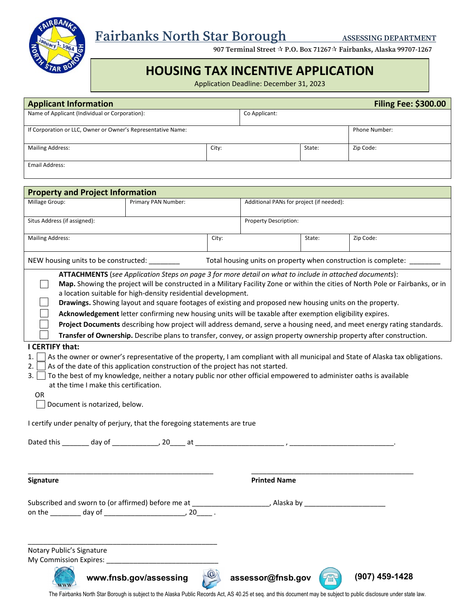

# **Fairbanks North Star Borough ASSESSING DEPARTMENT**

 **907 Terminal Street P.O. Box 71267 Fairbanks, Alaska 99707-1267** 

## **HOUSING TAX INCENTIVE APPLICATION**

Application Deadline: December 31, 2023

| <b>Applicant Information</b>                                 |                     |                              |               |                                          | <b>Filing Fee: \$300.00</b> |
|--------------------------------------------------------------|---------------------|------------------------------|---------------|------------------------------------------|-----------------------------|
| Name of Applicant (Individual or Corporation):               |                     |                              | Co Applicant: |                                          |                             |
| If Corporation or LLC, Owner or Owner's Representative Name: |                     |                              |               | <b>Phone Number:</b>                     |                             |
| <b>Mailing Address:</b>                                      |                     | City:                        |               | State:                                   | Zip Code:                   |
| Email Address:                                               |                     |                              |               |                                          |                             |
| <b>Property and Project Information</b>                      |                     |                              |               |                                          |                             |
| Millage Group:                                               | Primary PAN Number: |                              |               | Additional PANs for project (if needed): |                             |
| Situs Address (if assigned):                                 |                     | <b>Property Description:</b> |               |                                          |                             |
| <b>Mailing Address:</b>                                      |                     | City:                        |               | State:                                   | Zip Code:                   |
|                                                              |                     |                              |               |                                          |                             |

NEW housing units to be constructed: \_\_\_\_\_\_\_\_\_ Total housing units on property when construction is complete:

**ATTACHMENTS** (*see Application Steps on page 3 for more detail on what to include in attached documents*):

**Map.** Showing the project will be constructed in a Military Facility Zone or within the cities of North Pole or Fairbanks, or in a location suitable for high-density residential development.  $\overline{a}$ 

**Drawings.** Showing layout and square footages of existing and proposed new housing units on the property.

**Acknowledgement** letter confirming new housing units will be taxable after exemption eligibility expires.

**Project Documents** describing how project will address demand, serve a housing need, and meet energy rating standards.

**Transfer of Ownership.** Describe plans to transfer, convey, or assign property ownership property after construction.  $\overline{a}$  $\overline{a}$ 

#### **I CERTIFY that:**

 $\overline{a}$ 

 $\overline{a}$ 

- 1.  $\Box$  As the owner or owner's representative of the property, I am compliant with all municipal and State of Alaska tax obligations.
- 2. As the owner of owner's representative of the property, rain compliant with<br>2. As of the date of this application construction of the project has not started.
- z.  $\Box$  As or the date or this application construction or the project has not started.<br>3.  $\Box$  To the best of my knowledge, neither a notary public nor other official empowered to administer oaths is available at the time I make this certification. j

\_\_\_\_\_\_\_\_\_\_\_\_\_\_\_\_\_\_\_\_\_\_\_\_\_\_\_\_\_\_\_\_\_\_\_\_\_\_\_\_\_\_\_\_\_\_\_\_ \_\_\_\_\_\_\_\_\_\_\_\_\_\_\_\_\_\_\_\_\_\_\_\_\_\_\_\_\_\_\_\_\_\_\_\_\_\_\_\_\_\_

OR

Document is notarized, below.

I certify under penalty of perjury, that the foregoing statements are true

Dated this \_\_\_\_\_\_\_\_ day of \_\_\_\_\_\_\_\_\_\_\_\_\_\_, 20\_\_\_\_\_ at \_\_\_\_\_\_\_\_\_\_\_\_\_\_\_\_\_\_\_\_\_\_\_\_\_\_\_, , \_\_

**Signature Printed Name**

|        | Subscribed and sworn to (or affirmed) before me at | Alaska |
|--------|----------------------------------------------------|--------|
| on the | dav of                                             |        |

Notary Public's Signature My Commission Expires:

\_\_\_\_\_\_\_\_\_\_\_\_\_\_\_\_\_\_\_\_\_\_\_\_\_\_\_\_\_\_\_\_\_\_\_\_\_\_\_\_\_\_\_\_\_\_\_\_\_





The Fairbanks North Star Borough is subject to the Alaska Public Records Act, AS 40.25 et seq. and this document may be subject to public disclosure under state law.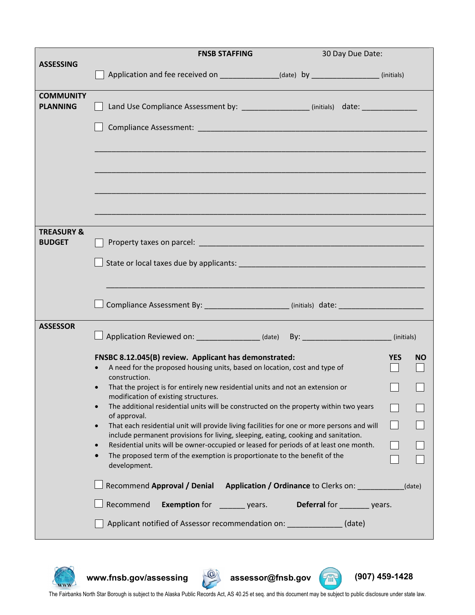|                                        | <b>FNSB STAFFING</b>                                                                                                                                                                                                                                                                                                                                                                                                                                                                                                                                                                                                                                                                                                                                                                                                                                                                                                                 | 30 Day Due Date:              |                                   |  |
|----------------------------------------|--------------------------------------------------------------------------------------------------------------------------------------------------------------------------------------------------------------------------------------------------------------------------------------------------------------------------------------------------------------------------------------------------------------------------------------------------------------------------------------------------------------------------------------------------------------------------------------------------------------------------------------------------------------------------------------------------------------------------------------------------------------------------------------------------------------------------------------------------------------------------------------------------------------------------------------|-------------------------------|-----------------------------------|--|
| <b>ASSESSING</b>                       | Application and fee received on _______________(date) by _______________(initials)                                                                                                                                                                                                                                                                                                                                                                                                                                                                                                                                                                                                                                                                                                                                                                                                                                                   |                               |                                   |  |
| <b>COMMUNITY</b><br><b>PLANNING</b>    | Land Use Compliance Assessment by: _________________ (initials) date: ___________                                                                                                                                                                                                                                                                                                                                                                                                                                                                                                                                                                                                                                                                                                                                                                                                                                                    |                               |                                   |  |
|                                        |                                                                                                                                                                                                                                                                                                                                                                                                                                                                                                                                                                                                                                                                                                                                                                                                                                                                                                                                      |                               |                                   |  |
|                                        |                                                                                                                                                                                                                                                                                                                                                                                                                                                                                                                                                                                                                                                                                                                                                                                                                                                                                                                                      |                               |                                   |  |
|                                        |                                                                                                                                                                                                                                                                                                                                                                                                                                                                                                                                                                                                                                                                                                                                                                                                                                                                                                                                      |                               |                                   |  |
|                                        |                                                                                                                                                                                                                                                                                                                                                                                                                                                                                                                                                                                                                                                                                                                                                                                                                                                                                                                                      |                               |                                   |  |
| <b>TREASURY &amp;</b><br><b>BUDGET</b> |                                                                                                                                                                                                                                                                                                                                                                                                                                                                                                                                                                                                                                                                                                                                                                                                                                                                                                                                      |                               |                                   |  |
|                                        |                                                                                                                                                                                                                                                                                                                                                                                                                                                                                                                                                                                                                                                                                                                                                                                                                                                                                                                                      |                               |                                   |  |
|                                        |                                                                                                                                                                                                                                                                                                                                                                                                                                                                                                                                                                                                                                                                                                                                                                                                                                                                                                                                      |                               |                                   |  |
| <b>ASSESSOR</b>                        | $\Box$ Application Reviewed on: _______________(date) By: ___________________(initials)                                                                                                                                                                                                                                                                                                                                                                                                                                                                                                                                                                                                                                                                                                                                                                                                                                              |                               |                                   |  |
|                                        | FNSBC 8.12.045(B) review. Applicant has demonstrated:<br>A need for the proposed housing units, based on location, cost and type of<br>construction.<br>That the project is for entirely new residential units and not an extension or<br>modification of existing structures.<br>The additional residential units will be constructed on the property within two years<br>of approval.<br>That each residential unit will provide living facilities for one or more persons and will<br>$\bullet$<br>include permanent provisions for living, sleeping, eating, cooking and sanitation.<br>Residential units will be owner-occupied or leased for periods of at least one month.<br>$\bullet$<br>The proposed term of the exemption is proportionate to the benefit of the<br>$\bullet$<br>development.<br>Recommend Approval / Denial Application / Ordinance to Clerks on:<br>Recommend<br><b>Exemption for</b> __________ years. | Deferral for _________ years. | <b>YES</b><br><b>NO</b><br>(date) |  |
|                                        | Applicant notified of Assessor recommendation on: _______________ (date)                                                                                                                                                                                                                                                                                                                                                                                                                                                                                                                                                                                                                                                                                                                                                                                                                                                             |                               |                                   |  |



**www.fnsb.gov/assessing assessor@fnsb.gov (907) 459-1428**





WWW.finsb.gov/assessing assessor@finsb.gov (907) 459-1428<br>The Fairbanks North Star Borough is subject to the Alaska Public Records Act, AS 40.25 et seq. and this document may be subject to public disclosure under state law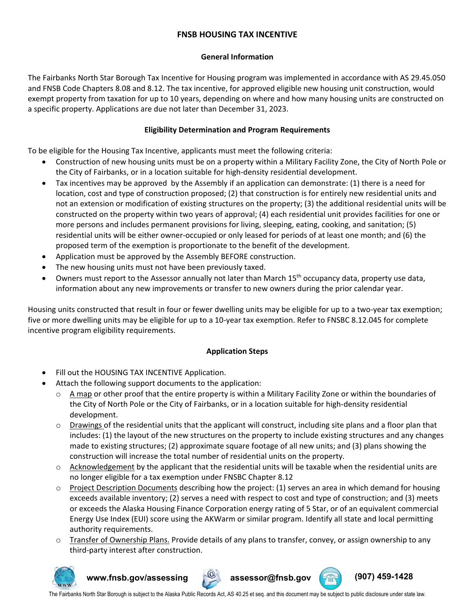### **FNSB HOUSING TAX INCENTIVE**

#### **General Information**

The Fairbanks North Star Borough Tax Incentive for Housing program was implemented in accordance with AS 29.45.050 and FNSB Code Chapters 8.08 and 8.12. The tax incentive, for approved eligible new housing unit construction, would exempt property from taxation for up to 10 years, depending on where and how many housing units are constructed on a specific property. Applications are due not later than December 31, 2023.

#### **Eligibility Determination and Program Requirements**

To be eligible for the Housing Tax Incentive, applicants must meet the following criteria:

- Construction of new housing units must be on a property within a Military Facility Zone, the City of North Pole or the City of Fairbanks, or in a location suitable for high-density residential development.
- Tax incentives may be approved by the Assembly if an application can demonstrate: (1) there is a need for location, cost and type of construction proposed; (2) that construction is for entirely new residential units and not an extension or modification of existing structures on the property; (3) the additional residential units will be constructed on the property within two years of approval; (4) each residential unit provides facilities for one or more persons and includes permanent provisions for living, sleeping, eating, cooking, and sanitation; (5) residential units will be either owner-occupied or only leased for periods of at least one month; and (6) the proposed term of the exemption is proportionate to the benefit of the development.
- Application must be approved by the Assembly BEFORE construction.
- The new housing units must not have been previously taxed.
- Owners must report to the Assessor annually not later than March 15<sup>th</sup> occupancy data, property use data, information about any new improvements or transfer to new owners during the prior calendar year.

Housing units constructed that result in four or fewer dwelling units may be eligible for up to a two-year tax exemption; five or more dwelling units may be eligible for up to a 10-year tax exemption. Refer to FNSBC 8.12.045 for complete incentive program eligibility requirements.

#### **Application Steps**

- Fill out the HOUSING TAX INCENTIVE Application.
- Attach the following support documents to the application:
	- o A map or other proof that the entire property is within a Military Facility Zone or within the boundaries of the City of North Pole or the City of Fairbanks, or in a location suitable for high-density residential development.
	- $\circ$  Drawings of the residential units that the applicant will construct, including site plans and a floor plan that includes: (1) the layout of the new structures on the property to include existing structures and any changes made to existing structures; (2) approximate square footage of all new units; and (3) plans showing the construction will increase the total number of residential units on the property.
	- $\circ$  Acknowledgement by the applicant that the residential units will be taxable when the residential units are no longer eligible for a tax exemption under FNSBC Chapter 8.12
	- $\circ$  Project Description Documents describing how the project: (1) serves an area in which demand for housing exceeds available inventory; (2) serves a need with respect to cost and type of construction; and (3) meets or exceeds the Alaska Housing Finance Corporation energy rating of 5 Star, or of an equivalent commercial Energy Use Index (EUI) score using the AKWarm or similar program. Identify all state and local permitting authority requirements.
	- $\circ$  Transfer of Ownership Plans. Provide details of any plans to transfer, convey, or assign ownership to any third-party interest after construction.



**www.fnsb.gov/assessing assessor@fnsb.gov (907) 459-1428**